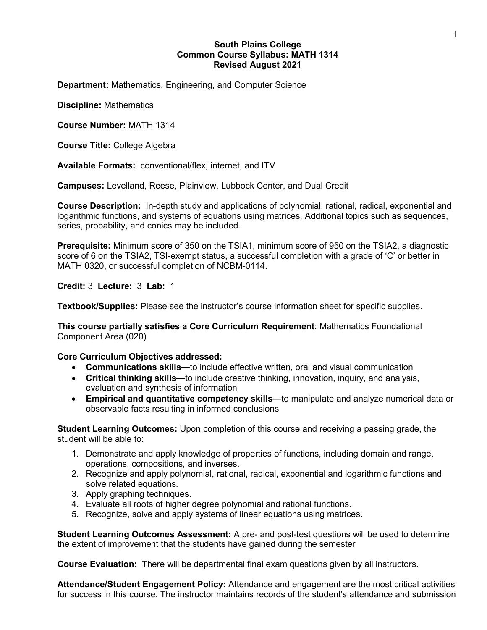# **South Plains College Common Course Syllabus: MATH 1314 Revised August 2021**

**Department:** Mathematics, Engineering, and Computer Science

**Discipline:** Mathematics

**Course Number:** MATH 1314

**Course Title:** College Algebra

**Available Formats:** conventional/flex, internet, and ITV

**Campuses:** Levelland, Reese, Plainview, Lubbock Center, and Dual Credit

**Course Description:** In-depth study and applications of polynomial, rational, radical, exponential and logarithmic functions, and systems of equations using matrices. Additional topics such as sequences, series, probability, and conics may be included.

**Prerequisite:** Minimum score of 350 on the TSIA1, minimum score of 950 on the TSIA2, a diagnostic score of 6 on the TSIA2. TSI-exempt status, a successful completion with a grade of 'C' or better in MATH 0320, or successful completion of NCBM-0114.

**Credit:** 3 **Lecture:** 3 **Lab:** 1

**Textbook/Supplies:** Please see the instructor's course information sheet for specific supplies.

**This course partially satisfies a Core Curriculum Requirement**: Mathematics Foundational Component Area (020)

### **Core Curriculum Objectives addressed:**

- **Communications skills**—to include effective written, oral and visual communication
- **Critical thinking skills**—to include creative thinking, innovation, inquiry, and analysis, evaluation and synthesis of information
- **Empirical and quantitative competency skills**—to manipulate and analyze numerical data or observable facts resulting in informed conclusions

**Student Learning Outcomes:** Upon completion of this course and receiving a passing grade, the student will be able to:

- 1. Demonstrate and apply knowledge of properties of functions, including domain and range, operations, compositions, and inverses.
- 2. Recognize and apply polynomial, rational, radical, exponential and logarithmic functions and solve related equations.
- 3. Apply graphing techniques.
- 4. Evaluate all roots of higher degree polynomial and rational functions.
- 5. Recognize, solve and apply systems of linear equations using matrices.

**Student Learning Outcomes Assessment:** A pre- and post-test questions will be used to determine the extent of improvement that the students have gained during the semester

**Course Evaluation:** There will be departmental final exam questions given by all instructors.

**Attendance/Student Engagement Policy:** Attendance and engagement are the most critical activities for success in this course. The instructor maintains records of the student's attendance and submission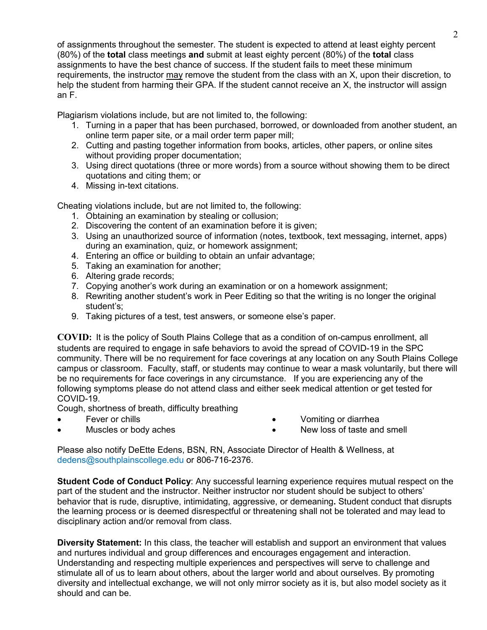of assignments throughout the semester. The student is expected to attend at least eighty percent (80%) of the **total** class meetings **and** submit at least eighty percent (80%) of the **total** class assignments to have the best chance of success. If the student fails to meet these minimum requirements, the instructor may remove the student from the class with an X, upon their discretion, to help the student from harming their GPA. If the student cannot receive an X, the instructor will assign an F.

Plagiarism violations include, but are not limited to, the following:

- 1. Turning in a paper that has been purchased, borrowed, or downloaded from another student, an online term paper site, or a mail order term paper mill;
- 2. Cutting and pasting together information from books, articles, other papers, or online sites without providing proper documentation;
- 3. Using direct quotations (three or more words) from a source without showing them to be direct quotations and citing them; or
- 4. Missing in-text citations.

Cheating violations include, but are not limited to, the following:

- 1. Obtaining an examination by stealing or collusion;
- 2. Discovering the content of an examination before it is given;
- 3. Using an unauthorized source of information (notes, textbook, text messaging, internet, apps) during an examination, quiz, or homework assignment;
- 4. Entering an office or building to obtain an unfair advantage;
- 5. Taking an examination for another;
- 6. Altering grade records;
- 7. Copying another's work during an examination or on a homework assignment;
- 8. Rewriting another student's work in Peer Editing so that the writing is no longer the original student's;
- 9. Taking pictures of a test, test answers, or someone else's paper.

**COVID:** It is the policy of South Plains College that as a condition of on-campus enrollment, all students are required to engage in safe behaviors to avoid the spread of COVID-19 in the SPC community. There will be no requirement for face coverings at any location on any South Plains College campus or classroom. Faculty, staff, or students may continue to wear a mask voluntarily, but there will be no requirements for face coverings in any circumstance. If you are experiencing any of the following symptoms please do not attend class and either seek medical attention or get tested for COVID-19.

Cough, shortness of breath, difficulty breathing

Fever or chills

• Vomiting or diarrhea

Muscles or body aches

- 
- New loss of taste and smell

Please also notify DeEtte Edens, BSN, RN, Associate Director of Health & Wellness, at [dedens@southplainscollege.edu](mailto:dedens@southplainscollege.edu) or 806-716-2376.

**Student Code of Conduct Policy**: Any successful learning experience requires mutual respect on the part of the student and the instructor. Neither instructor nor student should be subject to others' behavior that is rude, disruptive, intimidating, aggressive, or demeaning**.** Student conduct that disrupts the learning process or is deemed disrespectful or threatening shall not be tolerated and may lead to disciplinary action and/or removal from class.

**Diversity Statement:** In this class, the teacher will establish and support an environment that values and nurtures individual and group differences and encourages engagement and interaction. Understanding and respecting multiple experiences and perspectives will serve to challenge and stimulate all of us to learn about others, about the larger world and about ourselves. By promoting diversity and intellectual exchange, we will not only mirror society as it is, but also model society as it should and can be.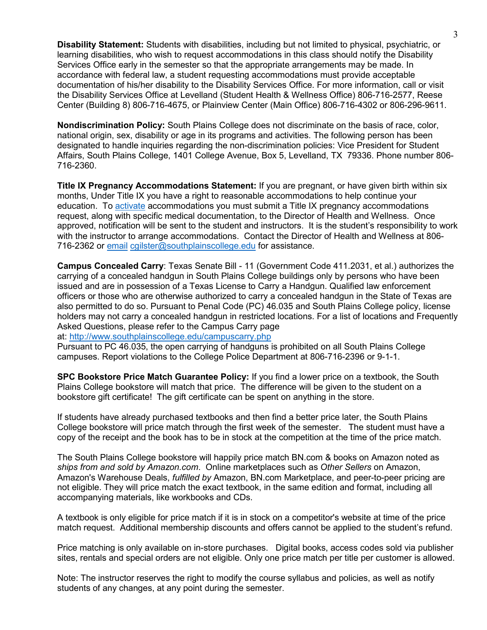**Disability Statement:** Students with disabilities, including but not limited to physical, psychiatric, or learning disabilities, who wish to request accommodations in this class should notify the Disability Services Office early in the semester so that the appropriate arrangements may be made. In accordance with federal law, a student requesting accommodations must provide acceptable documentation of his/her disability to the Disability Services Office. For more information, call or visit the Disability Services Office at Levelland (Student Health & Wellness Office) 806-716-2577, Reese Center (Building 8) 806-716-4675, or Plainview Center (Main Office) 806-716-4302 or 806-296-9611.

**Nondiscrimination Policy:** South Plains College does not discriminate on the basis of race, color, national origin, sex, disability or age in its programs and activities. The following person has been designated to handle inquiries regarding the non-discrimination policies: Vice President for Student Affairs, South Plains College, 1401 College Avenue, Box 5, Levelland, TX 79336. Phone number 806- 716-2360.

**Title IX Pregnancy Accommodations Statement:** If you are pregnant, or have given birth within six months, Under Title IX you have a right to reasonable accommodations to help continue your education. To [activate](http://www.southplainscollege.edu/employees/manualshandbooks/facultyhandbook/sec4.php) accommodations you must submit a Title IX pregnancy accommodations request, along with specific medical documentation, to the Director of Health and Wellness. Once approved, notification will be sent to the student and instructors. It is the student's responsibility to work with the instructor to arrange accommodations. Contact the Director of Health and Wellness at 806- 716-2362 or [email](http://www.southplainscollege.edu/employees/manualshandbooks/facultyhandbook/sec4.php) [cgilster@southplainscollege.edu](mailto:cgilster@southplainscollege.edu) for assistance.

**Campus Concealed Carry**: Texas Senate Bill - 11 (Government Code 411.2031, et al.) authorizes the carrying of a concealed handgun in South Plains College buildings only by persons who have been issued and are in possession of a Texas License to Carry a Handgun. Qualified law enforcement officers or those who are otherwise authorized to carry a concealed handgun in the State of Texas are also permitted to do so. Pursuant to Penal Code (PC) 46.035 and South Plains College policy, license holders may not carry a concealed handgun in restricted locations. For a list of locations and Frequently Asked Questions, please refer to the Campus Carry page

at: <http://www.southplainscollege.edu/campuscarry.php>

Pursuant to PC 46.035, the open carrying of handguns is prohibited on all South Plains College campuses. Report violations to the College Police Department at 806-716-2396 or 9-1-1.

**SPC Bookstore Price Match Guarantee Policy:** If you find a lower price on a textbook, the South Plains College bookstore will match that price. The difference will be given to the student on a bookstore gift certificate! The gift certificate can be spent on anything in the store.

If students have already purchased textbooks and then find a better price later, the South Plains College bookstore will price match through the first week of the semester. The student must have a copy of the receipt and the book has to be in stock at the competition at the time of the price match.

The South Plains College bookstore will happily price match BN.com & books on Amazon noted as *ships from and sold by Amazon.com*. Online marketplaces such as *Other Sellers* on Amazon, Amazon's Warehouse Deals, *fulfilled by* Amazon, BN.com Marketplace, and peer-to-peer pricing are not eligible. They will price match the exact textbook, in the same edition and format, including all accompanying materials, like workbooks and CDs.

A textbook is only eligible for price match if it is in stock on a competitor's website at time of the price match request. Additional membership discounts and offers cannot be applied to the student's refund.

Price matching is only available on in-store purchases. Digital books, access codes sold via publisher sites, rentals and special orders are not eligible. Only one price match per title per customer is allowed.

Note: The instructor reserves the right to modify the course syllabus and policies, as well as notify students of any changes, at any point during the semester.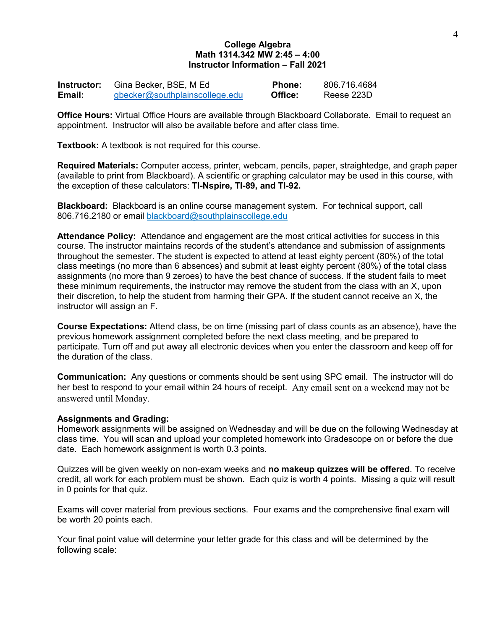## **College Algebra Math 1314.342 MW 2:45 – 4:00 Instructor Information – Fall 2021**

| Instructor: | Gina Becker, BSE, M Ed         | <b>Phone:</b> | 806.716.4684 |
|-------------|--------------------------------|---------------|--------------|
| Email:      | gbecker@southplainscollege.edu | Office:       | Reese 223D   |

**Office Hours:** Virtual Office Hours are available through Blackboard Collaborate. Email to request an appointment. Instructor will also be available before and after class time.

**Textbook:** A textbook is not required for this course.

**Required Materials:** Computer access, printer, webcam, pencils, paper, straightedge, and graph paper (available to print from Blackboard). A scientific or graphing calculator may be used in this course, with the exception of these calculators: **TI-Nspire, TI-89, and TI-92.**

**Blackboard:** Blackboard is an online course management system. For technical support, call 806.716.2180 or email [blackboard@southplainscollege.edu](mailto:blackboard@southplainscollege.edu)

**Attendance Policy:** Attendance and engagement are the most critical activities for success in this course. The instructor maintains records of the student's attendance and submission of assignments throughout the semester. The student is expected to attend at least eighty percent (80%) of the total class meetings (no more than 6 absences) and submit at least eighty percent (80%) of the total class assignments (no more than 9 zeroes) to have the best chance of success. If the student fails to meet these minimum requirements, the instructor may remove the student from the class with an X, upon their discretion, to help the student from harming their GPA. If the student cannot receive an X, the instructor will assign an F.

**Course Expectations:** Attend class, be on time (missing part of class counts as an absence), have the previous homework assignment completed before the next class meeting, and be prepared to participate. Turn off and put away all electronic devices when you enter the classroom and keep off for the duration of the class.

**Communication:** Any questions or comments should be sent using SPC email. The instructor will do her best to respond to your email within 24 hours of receipt.Any email sent on a weekend may not be answered until Monday.

#### **Assignments and Grading:**

Homework assignments will be assigned on Wednesday and will be due on the following Wednesday at class time. You will scan and upload your completed homework into Gradescope on or before the due date. Each homework assignment is worth 0.3 points.

Quizzes will be given weekly on non-exam weeks and **no makeup quizzes will be offered**. To receive credit, all work for each problem must be shown. Each quiz is worth 4 points. Missing a quiz will result in 0 points for that quiz.

Exams will cover material from previous sections. Four exams and the comprehensive final exam will be worth 20 points each.

Your final point value will determine your letter grade for this class and will be determined by the following scale: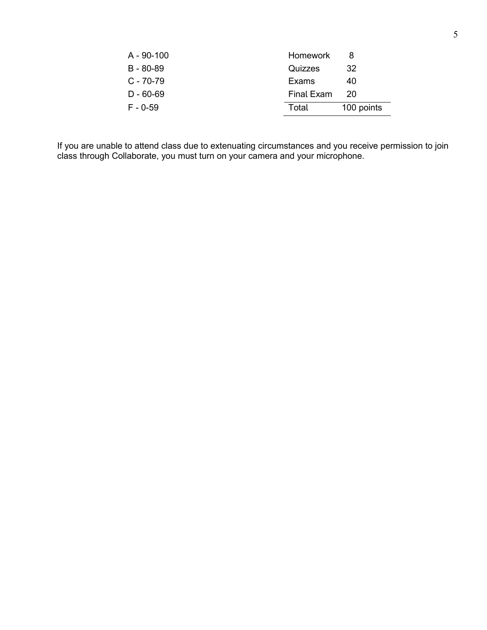| A - 90-100  | Homework   |            |
|-------------|------------|------------|
| B - 80-89   | Quizzes    | 32         |
| $C - 70-79$ | Exams      | 40         |
| D - 60-69   | Final Exam | 20         |
| $F - 0.59$  | Total      | 100 points |

If you are unable to attend class due to extenuating circumstances and you receive permission to join class through Collaborate, you must turn on your camera and your microphone.